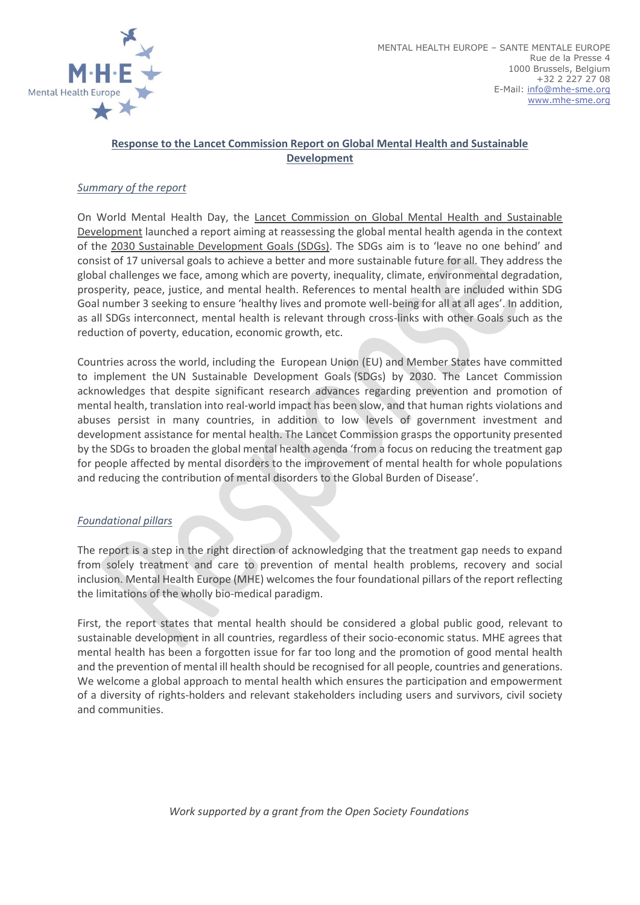

# **Response to the Lancet Commission Report on Global Mental Health and Sustainable Development**

#### *Summary of the report*

On World Mental Health Day, the [Lancet Commission on Global Mental Health and Sustainable](https://globalmentalhealthcommission.org/)  [Development](https://globalmentalhealthcommission.org/) launched a report aiming at reassessing the global mental health agenda in the context of the [2030 Sustainable Development Goals \(SDGs\).](https://www.un.org/sustainabledevelopment/sustainable-development-goals/) The SDGs aim is to 'leave no one behind' and consist of 17 universal goals to achieve a better and more sustainable future for all. They address the global challenges we face, among which are poverty, inequality, climate, environmental degradation, prosperity, peace, justice, and mental health. References to mental health are included within SDG Goal number 3 seeking to ensure 'healthy lives and promote well-being for all at all ages'. In addition, as all SDGs interconnect, mental health is relevant through cross-links with other Goals such as the reduction of poverty, education, economic growth, etc.

Countries across the world, including the European Union (EU) and Member States have committed to implement the [UN Sustainable Development Goals](http://www.un.org/sustainabledevelopment/sustainable-development-goals/) (SDGs) by 2030. The Lancet Commission acknowledges that despite significant research advances regarding prevention and promotion of mental health, translation into real-world impact has been slow, and that human rights violations and abuses persist in many countries, in addition to low levels of government investment and development assistance for mental health. The Lancet Commission grasps the opportunity presented by the SDGs to broaden the global mental health agenda 'from a focus on reducing the treatment gap for people affected by mental disorders to the improvement of mental health for whole populations and reducing the contribution of mental disorders to the Global Burden of Disease'.

#### *Foundational pillars*

The report is a step in the right direction of acknowledging that the treatment gap needs to expand from solely treatment and care to prevention of mental health problems, recovery and social inclusion. Mental Health Europe (MHE) welcomes the four foundational pillars of the report reflecting the limitations of the wholly bio-medical paradigm.

First, the report states that mental health should be considered a global public good, relevant to sustainable development in all countries, regardless of their socio-economic status. MHE agrees that mental health has been a forgotten issue for far too long and the promotion of good mental health and the prevention of mental ill health should be recognised for all people, countries and generations. We welcome a global approach to mental health which ensures the participation and empowerment of a diversity of rights-holders and relevant stakeholders including users and survivors, civil society and communities.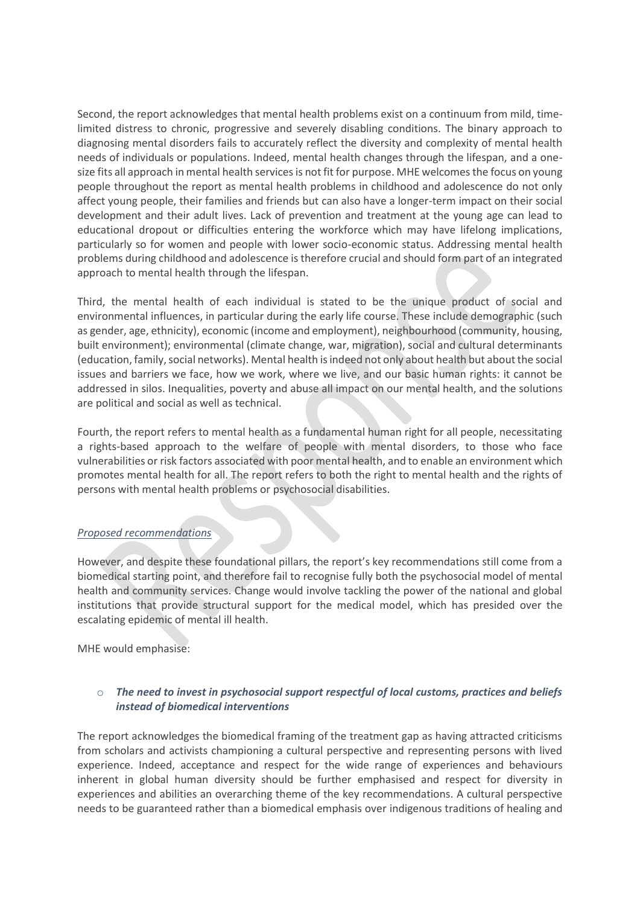Second, the report acknowledges that mental health problems exist on a continuum from mild, timelimited distress to chronic, progressive and severely disabling conditions. The binary approach to diagnosing mental disorders fails to accurately reflect the diversity and complexity of mental health needs of individuals or populations. Indeed, mental health changes through the lifespan, and a onesize fits all approach in mental health services is not fit for purpose. MHE welcomes the focus on young people throughout the report as mental health problems in childhood and adolescence do not only affect young people, their families and friends but can also have a longer-term impact on their social development and their adult lives. Lack of prevention and treatment at the young age can lead to educational dropout or difficulties entering the workforce which may have lifelong implications, particularly so for women and people with lower socio-economic status. Addressing mental health problems during childhood and adolescence is therefore crucial and should form part of an integrated approach to mental health through the lifespan.

Third, the mental health of each individual is stated to be the unique product of social and environmental influences, in particular during the early life course. These include demographic (such as gender, age, ethnicity), economic (income and employment), neighbourhood (community, housing, built environment); environmental (climate change, war, migration), social and cultural determinants (education, family, social networks). Mental health is indeed not only about health but about the social issues and barriers we face, how we work, where we live, and our basic human rights: it cannot be addressed in silos. Inequalities, poverty and abuse all impact on our mental health, and the solutions are political and social as well as technical.

Fourth, the report refers to mental health as a fundamental human right for all people, necessitating a rights-based approach to the welfare of people with mental disorders, to those who face vulnerabilities or risk factors associated with poor mental health, and to enable an environment which promotes mental health for all. The report refers to both the right to mental health and the rights of persons with mental health problems or psychosocial disabilities.

## *Proposed recommendations*

However, and despite these foundational pillars, the report's key recommendations still come from a biomedical starting point, and therefore fail to recognise fully both the psychosocial model of mental health and community services. Change would involve tackling the power of the national and global institutions that provide structural support for the medical model, which has presided over the escalating epidemic of mental ill health.

MHE would emphasise:

## o *The need to invest in psychosocial support respectful of local customs, practices and beliefs instead of biomedical interventions*

The report acknowledges the biomedical framing of the treatment gap as having attracted criticisms from scholars and activists championing a cultural perspective and representing persons with lived experience. Indeed, acceptance and respect for the wide range of experiences and behaviours inherent in global human diversity should be further emphasised and respect for diversity in experiences and abilities an overarching theme of the key recommendations. A cultural perspective needs to be guaranteed rather than a biomedical emphasis over indigenous traditions of healing and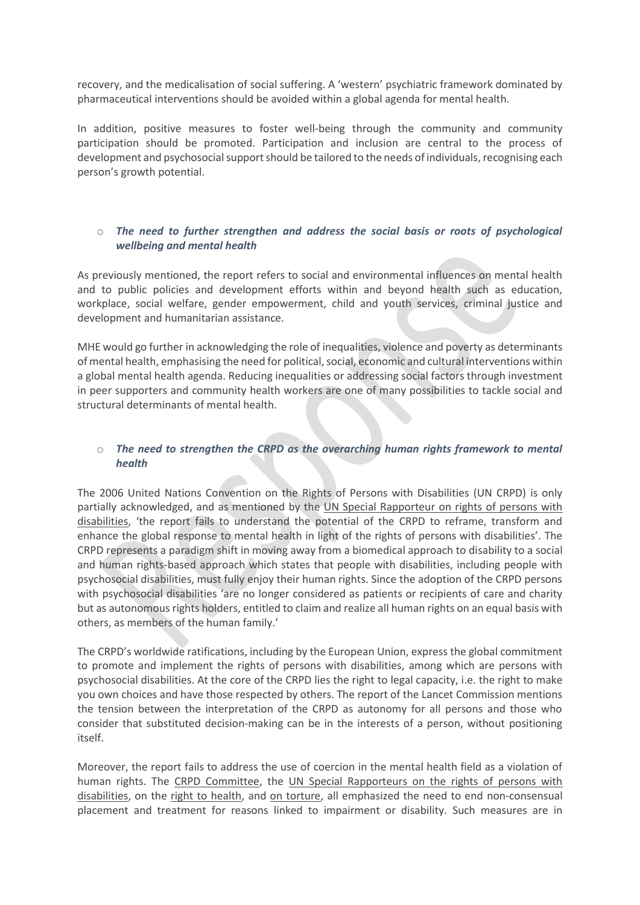recovery, and the medicalisation of social suffering. A 'western' psychiatric framework dominated by pharmaceutical interventions should be avoided within a global agenda for mental health.

In addition, positive measures to foster well-being through the community and community participation should be promoted. Participation and inclusion are central to the process of development and psychosocial support should be tailored to the needs of individuals, recognising each person's growth potential.

### o *The need to further strengthen and address the social basis or roots of psychological wellbeing and mental health*

As previously mentioned, the report refers to social and environmental influences on mental health and to public policies and development efforts within and beyond health such as education, workplace, social welfare, gender empowerment, child and youth services, criminal justice and development and humanitarian assistance.

MHE would go further in acknowledging the role of inequalities, violence and poverty as determinants of mental health, emphasising the need for political, social, economic and cultural interventions within a global mental health agenda. Reducing inequalities or addressing social factors through investment in peer supporters and community health workers are one of many possibilities to tackle social and structural determinants of mental health.

## o *The need to strengthen the CRPD as the overarching human rights framework to mental health*

The 2006 United Nations Convention on the Rights of Persons with Disabilities (UN CRPD) is only partially acknowledged, and as mentioned by the [UN Special Rapporteur on rights of persons with](https://globalmentalhealthcommission.org/commentaries/special-rapporteur-on-the-rights-of-persons-with-disabilities/)  [disabilities,](https://globalmentalhealthcommission.org/commentaries/special-rapporteur-on-the-rights-of-persons-with-disabilities/) 'the report fails to understand the potential of the CRPD to reframe, transform and enhance the global response to mental health in light of the rights of persons with disabilities'. The CRPD represents a paradigm shift in moving away from a biomedical approach to disability to a social and human rights-based approach which states that people with disabilities, including people with psychosocial disabilities, must fully enjoy their human rights. Since the adoption of the CRPD persons with psychosocial disabilities 'are no longer considered as patients or recipients of care and charity but as autonomous rights holders, entitled to claim and realize all human rights on an equal basis with others, as members of the human family.'

The CRPD's worldwide ratifications, including by the European Union, express the global commitment to promote and implement the rights of persons with disabilities, among which are persons with psychosocial disabilities. At the core of the CRPD lies the right to legal capacity, i.e. the right to make you own choices and have those respected by others. The report of the Lancet Commission mentions the tension between the interpretation of the CRPD as autonomy for all persons and those who consider that substituted decision-making can be in the interests of a person, without positioning itself.

Moreover, the report fails to address the use of coercion in the mental health field as a violation of human rights. The [CRPD Committee,](https://mhe-sme.org/wp-content/uploads/2018/09/StatementOviedo_CRPD20th.pdf) the UN Special Rapporteurs on the rights of persons with [disabilities,](http://www.ohchr.org/Documents/HRBodies/CCPR/GConArticle9/Submissions/SRDisability.doc) on the [right to health,](http://ap.ohchr.org/documents/dpage_e.aspx?si=A/HRC/35/21) and [on torture,](https://www.ohchr.org/Documents/HRBodies/HRCouncil/RegularSession/Session22/A.HRC.22.53_English.pdf) all emphasized the need to end non-consensual placement and treatment for reasons linked to impairment or disability. Such measures are in